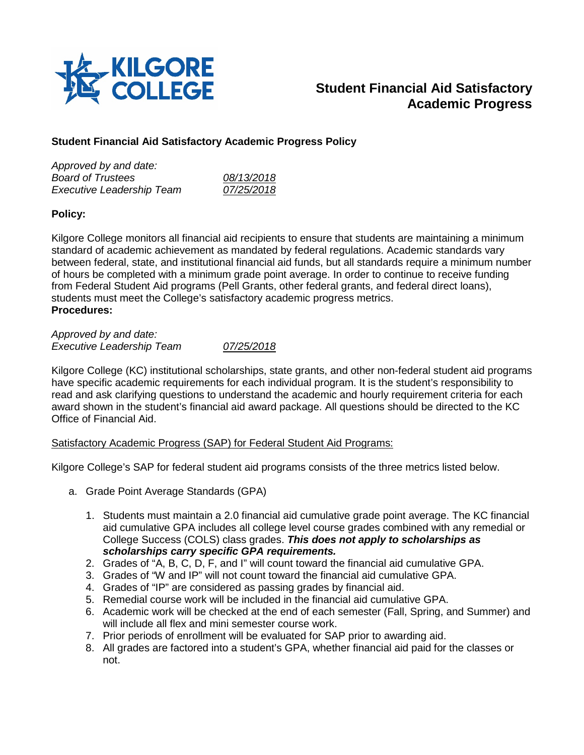

# **Student Financial Aid Satisfactory Academic Progress**

# **Student Financial Aid Satisfactory Academic Progress Policy**

| Approved by and date:            |            |
|----------------------------------|------------|
| <b>Board of Trustees</b>         | 08/13/2018 |
| <b>Executive Leadership Team</b> | 07/25/2018 |

# **Policy:**

Kilgore College monitors all financial aid recipients to ensure that students are maintaining a minimum standard of academic achievement as mandated by federal regulations. Academic standards vary between federal, state, and institutional financial aid funds, but all standards require a minimum number of hours be completed with a minimum grade point average. In order to continue to receive funding from Federal Student Aid programs (Pell Grants, other federal grants, and federal direct loans), students must meet the College's satisfactory academic progress metrics. **Procedures:**

*Approved by and date: Executive Leadership Team 07/25/2018*

Kilgore College (KC) institutional scholarships, state grants, and other non-federal student aid programs have specific academic requirements for each individual program. It is the student's responsibility to read and ask clarifying questions to understand the academic and hourly requirement criteria for each award shown in the student's financial aid award package. All questions should be directed to the KC Office of Financial Aid.

# Satisfactory Academic Progress (SAP) for Federal Student Aid Programs:

Kilgore College's SAP for federal student aid programs consists of the three metrics listed below.

- a. Grade Point Average Standards (GPA)
	- 1. Students must maintain a 2.0 financial aid cumulative grade point average. The KC financial aid cumulative GPA includes all college level course grades combined with any remedial or College Success (COLS) class grades. *This does not apply to scholarships as scholarships carry specific GPA requirements.*
	- 2. Grades of "A, B, C, D, F, and I" will count toward the financial aid cumulative GPA.
	- 3. Grades of "W and IP" will not count toward the financial aid cumulative GPA.
	- 4. Grades of "IP" are considered as passing grades by financial aid.
	- 5. Remedial course work will be included in the financial aid cumulative GPA.
	- 6. Academic work will be checked at the end of each semester (Fall, Spring, and Summer) and will include all flex and mini semester course work.
	- 7. Prior periods of enrollment will be evaluated for SAP prior to awarding aid.
	- 8. All grades are factored into a student's GPA, whether financial aid paid for the classes or not.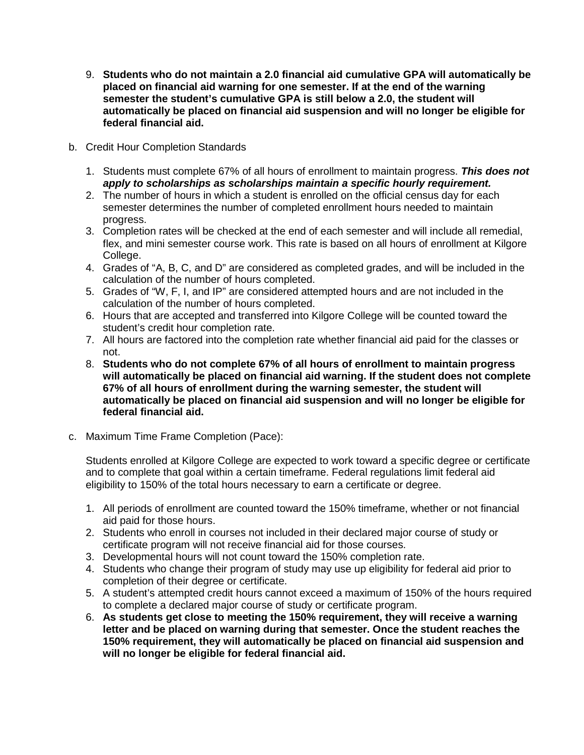- 9. **Students who do not maintain a 2.0 financial aid cumulative GPA will automatically be placed on financial aid warning for one semester. If at the end of the warning semester the student's cumulative GPA is still below a 2.0, the student will automatically be placed on financial aid suspension and will no longer be eligible for federal financial aid.**
- b. Credit Hour Completion Standards
	- 1. Students must complete 67% of all hours of enrollment to maintain progress. *This does not apply to scholarships as scholarships maintain a specific hourly requirement.*
	- 2. The number of hours in which a student is enrolled on the official census day for each semester determines the number of completed enrollment hours needed to maintain progress.
	- 3. Completion rates will be checked at the end of each semester and will include all remedial, flex, and mini semester course work. This rate is based on all hours of enrollment at Kilgore College.
	- 4. Grades of "A, B, C, and D" are considered as completed grades, and will be included in the calculation of the number of hours completed.
	- 5. Grades of "W, F, I, and IP" are considered attempted hours and are not included in the calculation of the number of hours completed.
	- 6. Hours that are accepted and transferred into Kilgore College will be counted toward the student's credit hour completion rate.
	- 7. All hours are factored into the completion rate whether financial aid paid for the classes or not.
	- 8. **Students who do not complete 67% of all hours of enrollment to maintain progress will automatically be placed on financial aid warning. If the student does not complete 67% of all hours of enrollment during the warning semester, the student will automatically be placed on financial aid suspension and will no longer be eligible for federal financial aid.**
- c. Maximum Time Frame Completion (Pace):

Students enrolled at Kilgore College are expected to work toward a specific degree or certificate and to complete that goal within a certain timeframe. Federal regulations limit federal aid eligibility to 150% of the total hours necessary to earn a certificate or degree.

- 1. All periods of enrollment are counted toward the 150% timeframe, whether or not financial aid paid for those hours.
- 2. Students who enroll in courses not included in their declared major course of study or certificate program will not receive financial aid for those courses.
- 3. Developmental hours will not count toward the 150% completion rate.
- 4. Students who change their program of study may use up eligibility for federal aid prior to completion of their degree or certificate.
- 5. A student's attempted credit hours cannot exceed a maximum of 150% of the hours required to complete a declared major course of study or certificate program.
- 6. **As students get close to meeting the 150% requirement, they will receive a warning letter and be placed on warning during that semester. Once the student reaches the 150% requirement, they will automatically be placed on financial aid suspension and will no longer be eligible for federal financial aid.**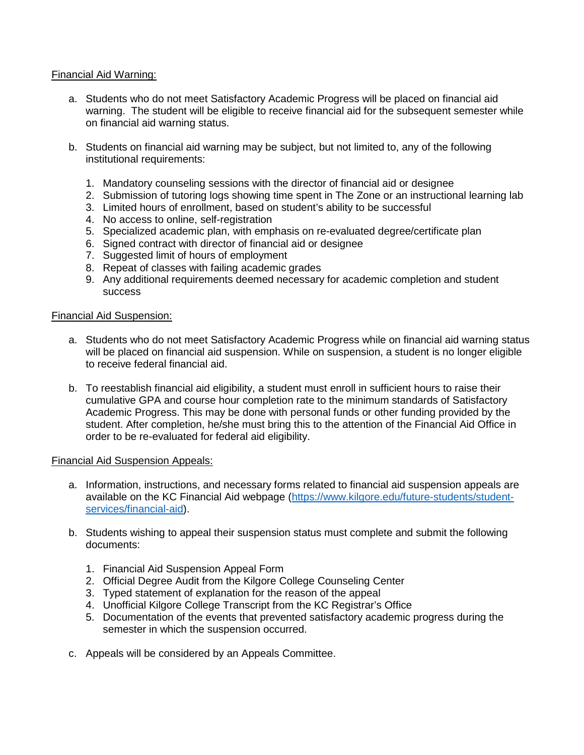## Financial Aid Warning:

- a. Students who do not meet Satisfactory Academic Progress will be placed on financial aid warning. The student will be eligible to receive financial aid for the subsequent semester while on financial aid warning status.
- b. Students on financial aid warning may be subject, but not limited to, any of the following institutional requirements:
	- 1. Mandatory counseling sessions with the director of financial aid or designee
	- 2. Submission of tutoring logs showing time spent in The Zone or an instructional learning lab
	- 3. Limited hours of enrollment, based on student's ability to be successful
	- 4. No access to online, self-registration
	- 5. Specialized academic plan, with emphasis on re-evaluated degree/certificate plan
	- 6. Signed contract with director of financial aid or designee
	- 7. Suggested limit of hours of employment
	- 8. Repeat of classes with failing academic grades
	- 9. Any additional requirements deemed necessary for academic completion and student success

#### Financial Aid Suspension:

- a. Students who do not meet Satisfactory Academic Progress while on financial aid warning status will be placed on financial aid suspension. While on suspension, a student is no longer eligible to receive federal financial aid.
- b. To reestablish financial aid eligibility, a student must enroll in sufficient hours to raise their cumulative GPA and course hour completion rate to the minimum standards of Satisfactory Academic Progress. This may be done with personal funds or other funding provided by the student. After completion, he/she must bring this to the attention of the Financial Aid Office in order to be re-evaluated for federal aid eligibility.

#### Financial Aid Suspension Appeals:

- a. Information, instructions, and necessary forms related to financial aid suspension appeals are available on the KC Financial Aid webpage [\(https://www.kilgore.edu/future-students/student](https://www.kilgore.edu/future-students/student-services/financial-aid)[services/financial-aid\)](https://www.kilgore.edu/future-students/student-services/financial-aid).
- b. Students wishing to appeal their suspension status must complete and submit the following documents:
	- 1. Financial Aid Suspension Appeal Form
	- 2. Official Degree Audit from the Kilgore College Counseling Center
	- 3. Typed statement of explanation for the reason of the appeal
	- 4. Unofficial Kilgore College Transcript from the KC Registrar's Office
	- 5. Documentation of the events that prevented satisfactory academic progress during the semester in which the suspension occurred.
- c. Appeals will be considered by an Appeals Committee.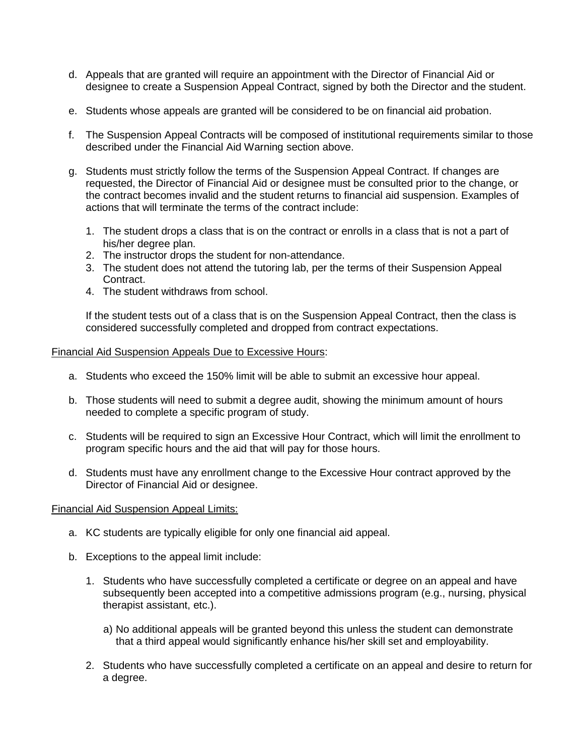- d. Appeals that are granted will require an appointment with the Director of Financial Aid or designee to create a Suspension Appeal Contract, signed by both the Director and the student.
- e. Students whose appeals are granted will be considered to be on financial aid probation.
- f. The Suspension Appeal Contracts will be composed of institutional requirements similar to those described under the Financial Aid Warning section above.
- g. Students must strictly follow the terms of the Suspension Appeal Contract. If changes are requested, the Director of Financial Aid or designee must be consulted prior to the change, or the contract becomes invalid and the student returns to financial aid suspension. Examples of actions that will terminate the terms of the contract include:
	- 1. The student drops a class that is on the contract or enrolls in a class that is not a part of his/her degree plan.
	- 2. The instructor drops the student for non-attendance.
	- 3. The student does not attend the tutoring lab, per the terms of their Suspension Appeal Contract.
	- 4. The student withdraws from school.

If the student tests out of a class that is on the Suspension Appeal Contract, then the class is considered successfully completed and dropped from contract expectations.

#### Financial Aid Suspension Appeals Due to Excessive Hours:

- a. Students who exceed the 150% limit will be able to submit an excessive hour appeal.
- b. Those students will need to submit a degree audit, showing the minimum amount of hours needed to complete a specific program of study.
- c. Students will be required to sign an Excessive Hour Contract, which will limit the enrollment to program specific hours and the aid that will pay for those hours.
- d. Students must have any enrollment change to the Excessive Hour contract approved by the Director of Financial Aid or designee.

#### Financial Aid Suspension Appeal Limits:

- a. KC students are typically eligible for only one financial aid appeal.
- b. Exceptions to the appeal limit include:
	- 1. Students who have successfully completed a certificate or degree on an appeal and have subsequently been accepted into a competitive admissions program (e.g., nursing, physical therapist assistant, etc.).
		- a) No additional appeals will be granted beyond this unless the student can demonstrate that a third appeal would significantly enhance his/her skill set and employability.
	- 2. Students who have successfully completed a certificate on an appeal and desire to return for a degree.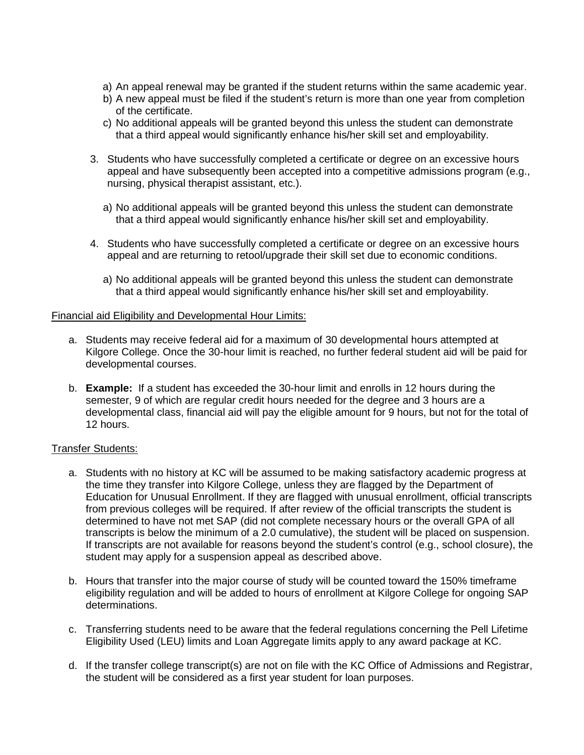- a) An appeal renewal may be granted if the student returns within the same academic year.
- b) A new appeal must be filed if the student's return is more than one year from completion of the certificate.
- c) No additional appeals will be granted beyond this unless the student can demonstrate that a third appeal would significantly enhance his/her skill set and employability.
- 3. Students who have successfully completed a certificate or degree on an excessive hours appeal and have subsequently been accepted into a competitive admissions program (e.g., nursing, physical therapist assistant, etc.).
	- a) No additional appeals will be granted beyond this unless the student can demonstrate that a third appeal would significantly enhance his/her skill set and employability.
- 4. Students who have successfully completed a certificate or degree on an excessive hours appeal and are returning to retool/upgrade their skill set due to economic conditions.
	- a) No additional appeals will be granted beyond this unless the student can demonstrate that a third appeal would significantly enhance his/her skill set and employability.

## Financial aid Eligibility and Developmental Hour Limits:

- a. Students may receive federal aid for a maximum of 30 developmental hours attempted at Kilgore College. Once the 30-hour limit is reached, no further federal student aid will be paid for developmental courses.
- b. **Example:** If a student has exceeded the 30-hour limit and enrolls in 12 hours during the semester, 9 of which are regular credit hours needed for the degree and 3 hours are a developmental class, financial aid will pay the eligible amount for 9 hours, but not for the total of 12 hours.

# Transfer Students:

- a. Students with no history at KC will be assumed to be making satisfactory academic progress at the time they transfer into Kilgore College, unless they are flagged by the Department of Education for Unusual Enrollment. If they are flagged with unusual enrollment, official transcripts from previous colleges will be required. If after review of the official transcripts the student is determined to have not met SAP (did not complete necessary hours or the overall GPA of all transcripts is below the minimum of a 2.0 cumulative), the student will be placed on suspension. If transcripts are not available for reasons beyond the student's control (e.g., school closure), the student may apply for a suspension appeal as described above.
- b. Hours that transfer into the major course of study will be counted toward the 150% timeframe eligibility regulation and will be added to hours of enrollment at Kilgore College for ongoing SAP determinations.
- c. Transferring students need to be aware that the federal regulations concerning the Pell Lifetime Eligibility Used (LEU) limits and Loan Aggregate limits apply to any award package at KC.
- d. If the transfer college transcript(s) are not on file with the KC Office of Admissions and Registrar, the student will be considered as a first year student for loan purposes.